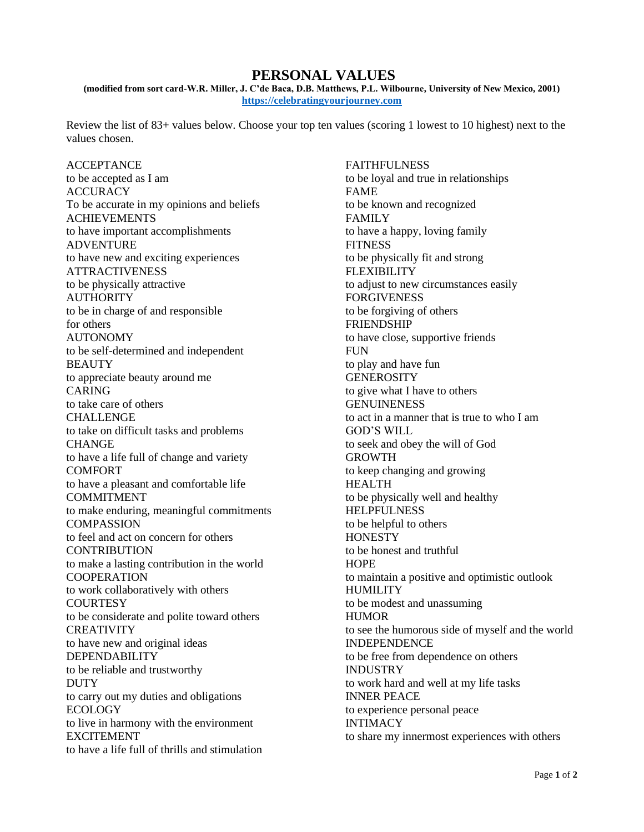## **PERSONAL VALUES**

**(modified from sort card-W.R. Miller, J. C'de Baca, D.B. Matthews, P.L. Wilbourne, University of New Mexico, 2001) [https://celebratingyourjourney.com](https://celebratingyourjourney.com/)**

Review the list of 83+ values below. Choose your top ten values (scoring 1 lowest to 10 highest) next to the values chosen.

ACCEPTANCE to be accepted as I am **ACCURACY** To be accurate in my opinions and beliefs ACHIEVEMENTS to have important accomplishments ADVENTURE to have new and exciting experiences ATTRACTIVENESS to be physically attractive **AUTHORITY** to be in charge of and responsible for others AUTONOMY to be self-determined and independent **BEAUTY** to appreciate beauty around me CARING to take care of others CHALLENGE to take on difficult tasks and problems **CHANGE** to have a life full of change and variety COMFORT to have a pleasant and comfortable life COMMITMENT to make enduring, meaningful commitments **COMPASSION** to feel and act on concern for others **CONTRIBUTION** to make a lasting contribution in the world **COOPERATION** to work collaboratively with others **COURTESY** to be considerate and polite toward others **CREATIVITY** to have new and original ideas DEPENDABILITY to be reliable and trustworthy **DUTY** to carry out my duties and obligations ECOLOGY to live in harmony with the environment EXCITEMENT to have a life full of thrills and stimulation

FAITHFULNESS to be loyal and true in relationships FAME to be known and recognized FAMILY to have a happy, loving family **FITNESS** to be physically fit and strong FLEXIBILITY to adjust to new circumstances easily FORGIVENESS to be forgiving of others FRIENDSHIP to have close, supportive friends FUN to play and have fun **GENEROSITY** to give what I have to others **GENUINENESS** to act in a manner that is true to who I am GOD'S WILL to seek and obey the will of God GROWTH to keep changing and growing HEALTH to be physically well and healthy **HELPFULNESS** to be helpful to others **HONESTY** to be honest and truthful **HOPE** to maintain a positive and optimistic outlook **HUMILITY** to be modest and unassuming **HUMOR** to see the humorous side of myself and the world INDEPENDENCE to be free from dependence on others INDUSTRY to work hard and well at my life tasks INNER PEACE to experience personal peace INTIMACY to share my innermost experiences with others